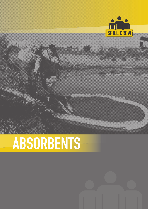

# ABSORBENTS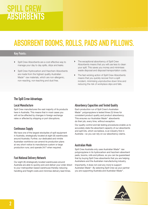# SPILL CREW ABSORBENTS

# ABSORBENT BOOMS, ROLLS, PADS AND PILLOWS.

#### Key Points:

- } Spill Crew Absorbents are a cost effective way to manage your day to day spills, drips and leaks.
- } Spill Crew Hydrocarbon and Hazchem Absorbents are made from the highest quality Australian Made<sup>®</sup> raw materials, which are non-allergenic, non-reacting, non-leaching and dust free.
- The exceptional absorbency of Spill Crew Absorbents means that you will use less to clean your spill. This saves you money and minimises waste disposal and disposal transportation costs.
- The fast wicking action of Spill Crew Absorbents means that you quickly recover from a spill incident, minimising unproductive down time and reducing the risk of workplace slips and falls.

#### The Spill Crew Advantage:

#### Local Manufacture

Spill Crew manufactures the vast majority of its products here in Australia. This means that in most cases you will not be affected by changes in foreign exchange rates or affected by shipping or port disruptions.

#### Continuous Supply

We have one of the largest stockpiles of spill equipment in Australia, strategically located at eight (8) warehouses around Australia. Further, our dedicated and nimble Australian workforce can amend its production plans at very short notice to manufacture custom or large production runs; and operate 24/7 when required.

#### Fast National Delivery Network

Our eight (8) strategically located warehouses around Australia are able to quickly pick and deliver your order direct to your metropolitan based warehouse thereby reducing handling and freight costs and minimise delivery lead times.

#### Absorbency Capacities and Tested Quality

Each production run of Spill Crew's Australian Made® polypropylene is tested three (3) times for consistent product quality and product absorbency. This ensures our Australian Made® absorbents do their job, every time, without exception.

Our quality control and lab testing procedures enable us to accurately state the absorbent capacity of our absorbents and spill kits, which we believe, is an industry first in Australia – so you can rely on our absorbency claims.

#### Australian Made

Spill Crew Australia only uses Australian Made® raw polypropylene in its hydrocarbon and hazchem absorbent pads, booms, rolls and pillows, so you can be guaranteed that by buying Spill Crew absorbents that you are helping Australians and the Australian manufacturing industry.

Importantly, it does not cost any more to support Australian Made®. By selecting Spill Crew as your partner you are supporting Australia and Australian Made®.

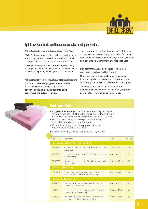

#### Spill Crew Absorbents use the Australian colour coding convention:

White absorbents  $=$  absorbs hydrocarbons (oils & fuels) White Australian Made® polypropylene absorbent only absorbs hydrocarbon based liquids such as oil, fuel, petrol, solvents and other hydrocarbon derivatives.

These absorbents are water repellent (hydrophobic) making them suitable for wet areas and ideal for use on the surface of ponds, marinas, lakes and the ocean.

Pink absorbents = absorbs hazardous chemicals (hazchem) Pink Australian Made® polypropylene is suitable for use with strong chemicals, including corrosive and caustic liquids, solvents, paint, bodily fluids and cytotoxic liquids.

The inert properties of this absorbent will not degrade or react with strong chemicals, so it is ideal for use at most industrial facilities, warehouses, hospitals, schools and laboratories, where strong chemicals are used.

Grey absorbents  $=$  absorbs all liquids (hydrocarbon, water based Liquids and mild chemicals)

Grey absorbent is designed for absorbing general industrial liquids such as coolants, degreasers, oils and fuels, paint, bodily fluids and water based liquids.

The General Purpose range of absorbents is manufactured with a heavier weight of polypropylene and is suited for workshop or industrial spills.

### Pads and Mats

- Polypropylene absorbent pads are the modern day replacement for waste rags and kitty litter in the work place and "pre-cut" to a convenient, workable size to prevent excess use and wastage.
- Pads are used to absorb small spills or used during the final clean-up of a larger spill incident.
- Excellent for wiping down oily equipment or placed under or around leaking machinery.

• Insert into tool trays to capture and absorb oily residue.

|  | Code                                     | Description                                                                       | <b>Size</b> | Pack Qty |  |
|--|------------------------------------------|-----------------------------------------------------------------------------------|-------------|----------|--|
|  | Hydrocarbon (Oil and Fuel) Pads and Mats |                                                                                   |             |          |  |
|  | SCOF45T                                  | Hydrocarbon Absorbent - Oils & Fuels only - Pad<br><b>Heavy Duty</b>              | 45cm x 45cm | 100      |  |
|  | SCOF45S                                  | Hydrocarbon Absorbent - Oils & Fuels only - Pad<br><b>Standard Duty</b>           | 45cm x 45cm | 50       |  |
|  | SCOF90T                                  | Hydrocarbon Absorbent - Oils & Fuels only - Mat<br><b>Heavy Duty</b>              | 90cm x 90cm | 40       |  |
|  |                                          | <b>General Purpose Pads</b>                                                       |             |          |  |
|  | SCM41M                                   | General Purpose Absorbent - Oil, Coolant &<br>Water Based Liquids Pad Medium Duty | 41cm x 51cm | 100      |  |
|  | <b>Hazchem Pads and Mats</b>             |                                                                                   |             |          |  |
|  | SCH45S                                   | Hazchem Absorbent - Corrosive & Unknown<br>Liquids - Pad Standard Duty            | 45cm x 45cm | 50       |  |
|  | SCH <sub>28</sub> S                      | Hazchem Absorbent - Corrosive & Unknown<br>Liquids Pad Standard Duty              | 28cm x 32cm | 50       |  |
|  | SCH80S                                   | Spill Crew Hazchem Absorbent - Corrosive &<br>Unknown Liquids Mat Standard Duty   | 80cm x 55cm | 20       |  |
|  |                                          |                                                                                   |             |          |  |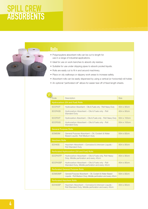# SPILL CREW ABSORBENTS



### Rolls

- Polypropylene absorbent rolls can be cut to length for use in a range of industrial applications.
- Ideal for use on work benches to absorb oily residue.
- Suitable for use under dripping pipes to absorb pooled liquids.
- Rolls are easily cut to fit in and around machinery.
- Place on oily walkways or slippery work areas to increase safety.
- Absorbent rolls can be easily dispensed by using a vertical (or horizontal) roll holder.
- An optional "perforated roll" allows for easier tear-off of fixed length sheets.

| Code                         | Description                                                                                                             | <b>Size</b> |  |  |
|------------------------------|-------------------------------------------------------------------------------------------------------------------------|-------------|--|--|
|                              | <b>Hydrocarbon (Oil and Fuel) Rolls</b>                                                                                 |             |  |  |
| SCOF40T                      | Hydrocarbon Absorbent - Oils & Fuels only - Roll Heavy Duty                                                             | 40m x 90cm  |  |  |
| SCOF40S                      | Hydrocarbon Absorbent - Oils & Fuels only - Roll<br><b>Standard Duty</b>                                                | 40m x 90cm  |  |  |
| SCOF50T                      | Hydrocarbon Absorbent - Oils & Fuels only - Roll Heavy Duty                                                             | 50m x 100cm |  |  |
| SCOF50S                      | Hydrocarbon Absorbent - Oils & Fuels only - Roll<br><b>Standard Duty</b>                                                | 50m x 100cm |  |  |
| <b>General Purpose Rolls</b> |                                                                                                                         |             |  |  |
| SCM50M                       | General Purpose Absorbent - Oil, Coolant & Water<br>Based Liquids- Roll Medium Duty                                     | 50m x 82cm  |  |  |
|                              | <b>Hazchem Rolls</b>                                                                                                    |             |  |  |
| SCH40S                       | Hazchem Absorbent - Corrosive & Unknown Liquids -<br><b>Roll Standard Duty</b>                                          | 40m x 90cm  |  |  |
|                              | Perforated Hydrocarbon (Oil and Fuel) Rolls                                                                             |             |  |  |
| SCOF40TP                     | Hydrocarbon Absorbent - Oils & Fuels only, Roll Heavy<br>Duty, Middle perforation and every 45cm                        | 40m x 90cm  |  |  |
| SCOF40SP                     | Hydrocarbon Absorbent - Oils & Fuels only - Roll<br>Standard Duty, Middle perforation and every 45cm                    | 40m x 90cm  |  |  |
|                              | <b>Perforated General Purpose Rolls</b>                                                                                 |             |  |  |
| SCM50MP                      | General Purpose Absorbent - Oil, Coolant & Water Based<br>Liquids - Roll Medium Duty, Middle perforation and every 45cm | 50m x 82cm  |  |  |
|                              | <b>Perforated Hazchem Rolls</b>                                                                                         |             |  |  |
| SCH40SP                      | Hazchem Absorbent - Corrosive & Unknown Liquids -<br>Roll Standard Duty, Middle perforation and every 45cm              | 40m x 90cm  |  |  |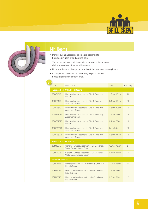



### Mini Booms

- Polypropylene absorbent booms are designed to be placed in front of and around spills.
- The primary aim of a mini boom is to prevent spills entering drains, culverts or other sensitive areas.
- Booms will absorb the spill and/or divert the course of moving liquids.
- Overlap mini booms when controlling a spill to ensure no leakage between boom ends.

| Code                                      | Description                                                            | <b>Size</b>         | Pack Qty |  |
|-------------------------------------------|------------------------------------------------------------------------|---------------------|----------|--|
| <b>Hydrocarbon (Oil &amp; Fuel) Booms</b> |                                                                        |                     |          |  |
| <b>SCOF1210</b>                           | Hydrocarbon Absorbent - Oils & Fuels only<br><b>Boom</b>               | $1.2m \times 10cm$  | 20       |  |
| <b>SCOF2410</b>                           | Hydrocarbon Absorbent - Oils & Fuels only<br>Absorbent Boom            | $2.4m \times 10cm$  | 10       |  |
| <b>SCOF3610</b>                           | Hydrocarbon Absorbent - Oils & Fuels only<br>Absorbent Boom            | 3.6m x 10cm         | 6        |  |
| <b>SCOF12075</b>                          | Hydrocarbon Absorbent - Oils & Fuels only<br>Absorbent Boom            | $1.2m \times 7.5cm$ | 24       |  |
| SCOF24075                                 | Hydrocarbon Absorbent - Oils & Fuels only<br><b>Boom</b>               | 2.4m x 7.5cm        | 12       |  |
| <b>SCOF30075</b>                          | Hydrocarbon Absorbent - Oils & Fuels only<br>Absorbent Boom            | 3m x 7.5cm          | 10       |  |
| SCOF36075                                 | Hydrocarbon Absorbent - Oils & Fuels only<br>Absorbent Boom            | 3.6m x 7.5cm        | 8        |  |
| <b>General Purpose Booms</b>              |                                                                        |                     |          |  |
| <b>SCM12075</b>                           | General Purpose Absorbent - Oil, Coolant &<br>Water Based Liquids Boom | $1.2m \times 7.5cm$ | 24       |  |
| <b>SCM24075</b>                           | General Purpose Absorbent - Oil, Coolant &<br>Water Based Liquids Boom | 2.4m x 7.5cm        | 12       |  |
| <b>Hazchem Booms</b>                      |                                                                        |                     |          |  |
| <b>SCH12075</b>                           | Hazchem Absorbent - Corrosive & Unknown<br>Liquids Boom                | $1.2m \times 7.5cm$ | 24       |  |
| <b>SCH24075</b>                           | Hazchem Absorbent - Corrosive & Unknown<br>Liquids Boom                | 2.4m x 7.5cm        | 12       |  |
| <b>SCH36075</b>                           | Hazchem Absorbent - Corrosive & Unknown<br>Liquids Boom                | 3.6m x 7.5cm        | 8        |  |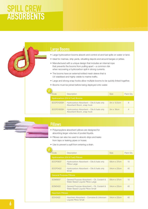# SPILL CREW ABSORBENTS

### Large Booms

- Large hydrocarbon booms absorb and control oil and fuel spills on water or land.
- Ideal for marinas, ship yards, refuelling depots and around barges or jetties.
- Manufactured with a unique design that includes an internal rope that prevents the booms from pulling apart – a common risk when recovering a hydrocarbon spill in strong currents.
- The booms have an external knitted mesh sleeve that is UV stabilised and highly visible to marine traffic.
- Large and strong snap hooks allow multiple booms to be quickly linked together.
- Booms must be joined before being deployed onto water.

| Code                           | Description                                                            | <b>Size</b>        | Pack Qty |  |
|--------------------------------|------------------------------------------------------------------------|--------------------|----------|--|
| Hydrocarbon (Oil & Fuel) Booms |                                                                        |                    |          |  |
| SCOF3125SH                     | Hydrocarbon Absorbent - Oils & fuels only<br>Absorbent Boom, snap hook | $3m \times 12.5cm$ |          |  |
| SCOF3180SH                     | Hydrocarbon Absorbent - Oils & fuels only<br>Absorbent Boom, snap hook | $3m \times 18cm$   |          |  |

#### **Pillows**

- Polypropylene absorbent pillows are designed for absorbing larger volumes of pooled liquids.
- Pillows can also be used to absorb drips and leaks from taps or leaking pipes or hoses.
- Use to prevent a spill from entering a drain.

| Code                           | Description                                                                    | <b>Size</b> | Pack Qty |
|--------------------------------|--------------------------------------------------------------------------------|-------------|----------|
|                                | <b>Hydrocarbon (Oil &amp; Fuel) Pillows</b>                                    |             |          |
| <b>SCOF5837</b>                | Hydrocarbon Absorbent - Oils & fuels only<br>Pillow Large                      | 58cm x 37cm | 10       |
| <b>SCOF3422</b>                | Hydrocarbon Absorbent – Oils & fuels only<br>Small                             | 34cm x 22cm | 40       |
| <b>General Purpose Pillows</b> |                                                                                |             |          |
| <b>SCM5837</b>                 | General Purpose Absorbent - Oil, Coolant &<br>Water Based Liquids Pillow Large | 58cm x 37cm | 10       |
| <b>SCM3422</b>                 | General Purpose Absorbent - Oil, Coolant &<br>Water Based Liquids Pillow Small | 34cm x 22cm | 40       |
| <b>Hazchem Pillows</b>         |                                                                                |             |          |
| <b>SCH3422</b>                 | Hazchem Absorbent - Corrosive & Unknown<br>Liquids Pillow Small                | 34cm x 22cm | 40       |
|                                |                                                                                |             |          |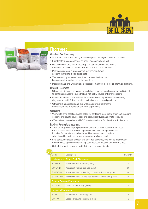



#### Floorsweep

#### Absorbent Peat Floorsweep

- Absorbent peat is used for hydrocarbon spills including oils, fuels and solvents.
- Excellent for use on concrete, bitumen, loose gravel and soil.
- Peat is hydrophobic (water repelling) and can be used in and around wet areas or spread on water surfaces to absorb hydrocarbons.
- Peat is an excellent suppressant of hydrocarbon fumes, assisting in making the spill area safe.
- The fast wicking action of peat does not allow the liquid to be squeezed or washed from the peat fibre.
- Peat is organic and will naturally biodegrade, making it ideal for land farm applications.

#### Ultrasorb Floorsweep

- Ultrasorb is designed as a general workshop or warehouse floorsweep and is ideal to contain and absorb liquids that are not highly caustic or highly corrosive.
- Is an all liquid absorbent, suitable for all water based liquids such as coolants, degreasers, bodily fluids in addition to hydrocarbon based products.
- Ultrasorb is a natural organic that will break down quickly in the environment and suitable for land farm applications.

#### Vermiculite

- Vermiculite is the best floorsweep option for containing most strong chemicals, including corrosive and caustic liquids, acids and paint, bodily fluids and cytotoxic liquids.
- Often referred to on chemical MSD sheets as suitable for chemical spill clean-ups.

#### Hazchem Polyproplene Absorbent

- The inert properties of polypropylene make this an ideal absorbent for most hazchem chemicals. It will not degrade or react with strong chemicals. It is ideal for use at most industrial facilities, warehouses, hospitals, schools and laboratories, where strong chemicals are used.
- Fine particulate pieces of clean and dust free polypropylene can be easily swept onto chemical spills and has the highest absorbent capacity of any floor sweep.
- Suitable for use in cleaning bodily fluids and cytotoxic liquids.

| Code                                         | Description                                                | Pack Qty       |  |
|----------------------------------------------|------------------------------------------------------------|----------------|--|
| <b>Hydrocarbon (Oil and Fuel) Floorsweep</b> |                                                            |                |  |
| SCPEAT6                                      | Absorbent Peat 6 litre Bag (box)                           | 9              |  |
| SCPEAT28                                     | Absorbent Peat 28 litre Bag (pallet)                       | 60             |  |
| SCPEAT50                                     | Absorbent Peat 50 litre Bag compressed 25 litres (pallet)  | 64             |  |
| SCPEAT100                                    | Absorbent Peat 100 litre Bag compressed 50 litres (pallet) | 36             |  |
| <b>General Purpose Floorsweep</b>            |                                                            |                |  |
| SCUS <sub>30</sub>                           | Ultrasorb 30 litre Bag (pallet)                            | 70             |  |
| <b>Hazchem Floorsweep</b>                    |                                                            |                |  |
| SCV <sub>30</sub>                            | Vermiculite 30 Litre Bag (box)                             | $\overline{4}$ |  |
| <b>SCHPC</b>                                 | Loose Particulate Tube 2.5kg (box)                         | 6              |  |